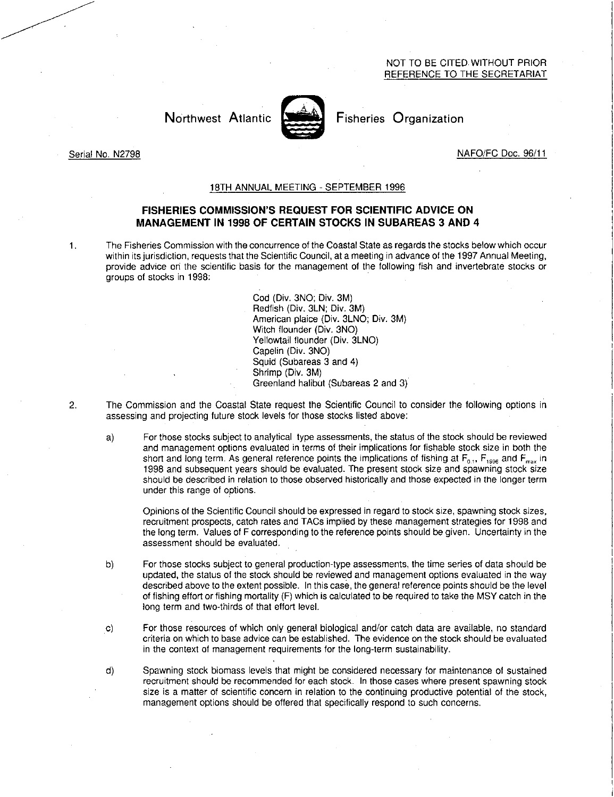## NOT TO BE CITED. WITHOUT PRIOR REFERENCE TO THE SECRETARIAT

# Northwest Atlantic **Notation** Fisheries Organization



Serial No. N2798 NAFO/FC Doc. 96/11

### 18TH ANNUAL MEETING - SEPTEMBER 1996

## **FISHERIES COMMISSION'S REQUEST FOR SCIENTIFIC ADVICE ON MANAGEMENT IN 1998 OF CERTAIN STOCKS IN SUBAREAS 3 AND 4**

1. The Fisheries Commission with the concurrence of the Coastal State as regards the stocks below which occur within its jurisdiction, requests that the Scientific Council, at a meeting in advance of the 1997 Annual Meeting, provide advice on the scientific basis for the management of the following fish and invertebrate stocks or groups of stocks in 1998:

> Cod (Div. 3NO; Div. 3M) Redfish (Div. 3LN; Div. 3M) American plaice (Div. 3LNO; Div. 3M) Witch flounder (Div. 3NO) Yellowtail flounder (Div. 3LNO) Capelin (Div. 3NO) Squid (Subareas 3 and 4) Shrimp (Div. 3M) Greenland halibut (Subareas 2 and 3)

- 2. The Commission and the Coastal State request the Scientific Council to consider the following options in assessing and projecting future stock levels for those stocks listed above:
	- a) For those stocks subject to analytical type assessments, the status of the stock should be reviewed and management options evaluated in terms of their implications for fishable stock size in both the short and long term. As general reference points the implications of fishing at  $F_{0,1}$ ,  $F_{1996}$  and  $F_{max}$  in 1998 and subsequent years should be evaluated. The present stock size and spawning stock size should be described in relation to those observed historically and those expected in the longer term under this range of options.

Opinions of the Scientific Council should be expressed in regard to stock size, spawning stock sizes, recruitment prospects, catch rates and TACs implied by these management strategies for 1998 and the long term. Values of F corresponding to the reference points should be given. Uncertainty in the assessment should be evaluated.

- b) For those stocks subject to general production-type assessments, the time series of data should be updated, the status of the stock should be reviewed and management options evaluated in the way described above to the extent possible. In this case, the general reference points should be the level of fishing effort or fishing mortality (F) which is calculated to be required to take the MSY catch in the long term and two-thirds of that effort level.
- $\mathbf{C}$ For those resources of which only general biological and/or catch data are available, no standard criteria on which to base advice can be established. The evidence on the stock should be evaluated in the context of management requirements for the long-term sustainability.
- d) Spawning stock biomass levels that might be considered necessary for maintenance of sustained recruitment should be recommended for each stock. In those cases where present spawning stock size is a matter of scientific concern in relation to the continuing productive potential of the stock, management options should be offered that specifically respond to such concerns.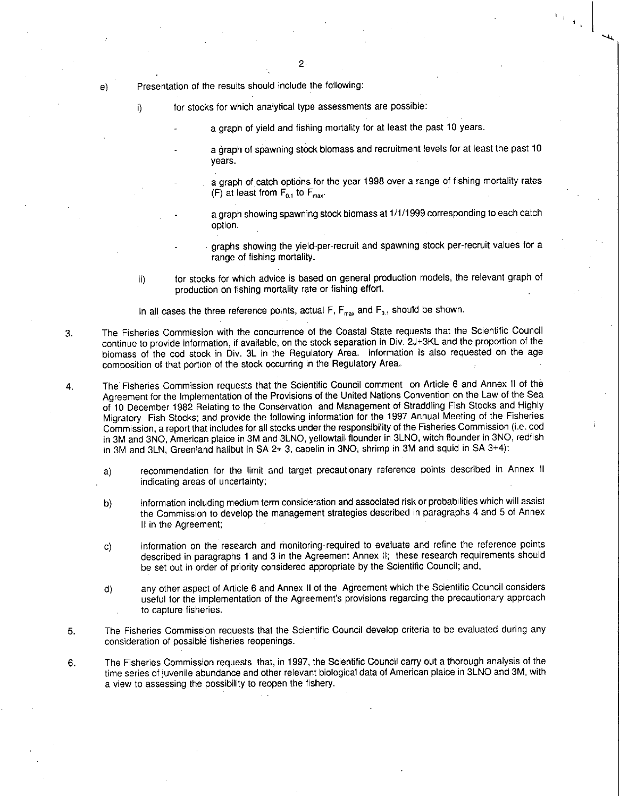Presentation of the results should include the following:

i) for stocks for which analytical type assessments are possible:

a graph of yield and fishing mortality for at least the past 10 years.

- a graph of spawning stock biomass and recruitment levels for at least the past 10 years.
- a graph of catch options for the year 1998 over a range of fishing mortality rates (F) at least from  $F_{0.1}$  to  $F_{\text{max}}$ .
	- a graph showing spawning stock biomass at 1/1/1999 corresponding to each catch option.
- graphs showing the yield-per-recruit and spawning stock per-recruit values for a range of fishing mortality.
- ii) for stocks for which advice is based on general production models, the relevant graph of production on fishing mortality rate or fishing effort.

In all cases the three reference points, actual F,  $F_{\text{max}}$  and  $F_0$ , should be shown.

- 3. The Fisheries Commission with the concurrence of the Coastal State requests that the Scientific Council continue to provide information, if available, on the stock separation in Div. 2J+3KL and the proportion of the biomass of the cod stock in Div. 3L in the Regulatory Area. Information is also requested on the age composition of that portion of the stock occurring in the Regulatory Area.
- 4. The Fisheries Commission requests that the Scientific Council comment on Article 6 and Annex II of the Agreement for the Implementation of the Provisions of the United Nations Convention on the Law of the Sea of 10 December 1982 Relating to the Conservation and Management of Straddling Fish Stocks and Highly Migratory Fish Stocks; and provide the following information for the 1997 Annual Meeting of the Fisheries Commission, a report that includes for all stocks under the responsibility of the Fisheries Commission (i.e. cod in 3M and 3NO, American plaice in 3M and 3LNO, yellowtail flounder in 3LNO, witch flounder in 3NO, redfish in 3M and 3LN, Greenland halibut in SA 2+ 3, capelin in 3NO, shrimp in 3M and squid in SA 3+4):
	- a) recommendation for the limit and target precautionary reference points described in Annex II indicating areas of uncertainty;
	- b) information including medium term consideration and associated risk or probabilities which will assist the Commission to develop the management strategies described in paragraphs 4 and 5 of Annex II in the Agreement;
	- c) information on the research and monitoring-required to evaluate and refine the reference points described in paragraphs 1 and 3 in the Agreement Annex II; these research requirements should be set out in order of priority considered appropriate by the Scientific Council; and,
	- d) any other aspect of Article 6 and Annex II of the Agreement which the Scientific Council considers useful for the implementation of the Agreement's provisions regarding the precautionary approach to capture fisheries.
- 5. The Fisheries Commission requests that the Scientific Council develop criteria to be evaluated during any consideration of possible fisheries reopenings.
- 6. The Fisheries Commission requests that, in 1997, the Scientific Council carry out a thorough analysis of the time series of juvenile abundance and other relevant biological data of American plaice in 3LNO and 3M, with a view to assessing the possibility to reopen the fishery.

 $e)$